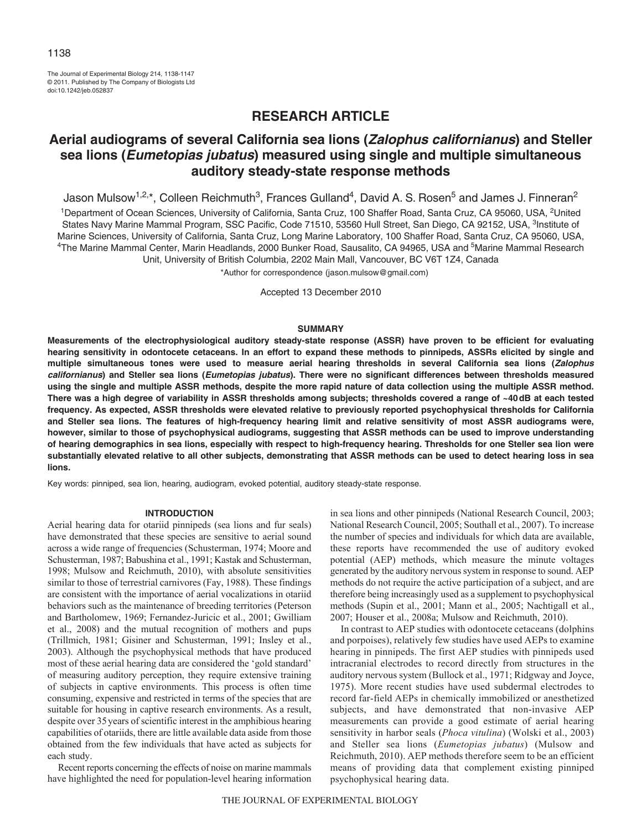The Journal of Experimental Biology 214, 1138-1147 © 2011. Published by The Company of Biologists Ltd doi:10.1242/jeb.052837

# **RESEARCH ARTICLE**

# **Aerial audiograms of several California sea lions (Zalophus californianus) and Steller sea lions (Eumetopias jubatus) measured using single and multiple simultaneous auditory steady-state response methods**

Jason Mulsow<sup>1,2,\*</sup>, Colleen Reichmuth<sup>3</sup>, Frances Gulland<sup>4</sup>, David A. S. Rosen<sup>5</sup> and James J. Finneran<sup>2</sup>

<sup>1</sup>Department of Ocean Sciences, University of California, Santa Cruz, 100 Shaffer Road, Santa Cruz, CA 95060, USA, <sup>2</sup>United States Navy Marine Mammal Program, SSC Pacific, Code 71510, 53560 Hull Street, San Diego, CA 92152, USA, <sup>3</sup>Institute of Marine Sciences, University of California, Santa Cruz, Long Marine Laboratory, 100 Shaffer Road, Santa Cruz, CA 95060, USA, <sup>4</sup>The Marine Mammal Center, Marin Headlands, 2000 Bunker Road, Sausalito, CA 94965, USA and <sup>5</sup>Marine Mammal Research Unit, University of British Columbia, 2202 Main Mall, Vancouver, BC V6T 1Z4, Canada

\*Author for correspondence (jason.mulsow@gmail.com)

Accepted 13 December 2010

### **SUMMARY**

**Measurements of the electrophysiological auditory steady-state response (ASSR) have proven to be efficient for evaluating hearing sensitivity in odontocete cetaceans. In an effort to expand these methods to pinnipeds, ASSRs elicited by single and multiple simultaneous tones were used to measure aerial hearing thresholds in several California sea lions (Zalophus californianus) and Steller sea lions (Eumetopias jubatus). There were no significant differences between thresholds measured using the single and multiple ASSR methods, despite the more rapid nature of data collection using the multiple ASSR method. There was a high degree of variability in ASSR thresholds among subjects; thresholds covered a range of ~40dB at each tested frequency. As expected, ASSR thresholds were elevated relative to previously reported psychophysical thresholds for California and Steller sea lions. The features of high-frequency hearing limit and relative sensitivity of most ASSR audiograms were, however, similar to those of psychophysical audiograms, suggesting that ASSR methods can be used to improve understanding of hearing demographics in sea lions, especially with respect to high-frequency hearing. Thresholds for one Steller sea lion were substantially elevated relative to all other subjects, demonstrating that ASSR methods can be used to detect hearing loss in sea lions.**

Key words: pinniped, sea lion, hearing, audiogram, evoked potential, auditory steady-state response.

#### **INTRODUCTION**

Aerial hearing data for otariid pinnipeds (sea lions and fur seals) have demonstrated that these species are sensitive to aerial sound across a wide range of frequencies (Schusterman, 1974; Moore and Schusterman, 1987; Babushina et al., 1991; Kastak and Schusterman, 1998; Mulsow and Reichmuth, 2010), with absolute sensitivities similar to those of terrestrial carnivores (Fay, 1988). These findings are consistent with the importance of aerial vocalizations in otariid behaviors such as the maintenance of breeding territories (Peterson and Bartholomew, 1969; Fernandez-Juricic et al., 2001; Gwilliam et al., 2008) and the mutual recognition of mothers and pups (Trillmich, 1981; Gisiner and Schusterman, 1991; Insley et al., 2003). Although the psychophysical methods that have produced most of these aerial hearing data are considered the 'gold standard' of measuring auditory perception, they require extensive training of subjects in captive environments. This process is often time consuming, expensive and restricted in terms of the species that are suitable for housing in captive research environments. As a result, despite over 35years of scientific interest in the amphibious hearing capabilities of otariids, there are little available data aside from those obtained from the few individuals that have acted as subjects for each study.

Recent reports concerning the effects of noise on marine mammals have highlighted the need for population-level hearing information in sea lions and other pinnipeds (National Research Council, 2003; National Research Council, 2005; Southall et al., 2007). To increase the number of species and individuals for which data are available, these reports have recommended the use of auditory evoked potential (AEP) methods, which measure the minute voltages generated by the auditory nervous system in response to sound. AEP methods do not require the active participation of a subject, and are therefore being increasingly used as a supplement to psychophysical methods (Supin et al., 2001; Mann et al., 2005; Nachtigall et al., 2007; Houser et al., 2008a; Mulsow and Reichmuth, 2010).

In contrast to AEP studies with odontocete cetaceans (dolphins and porpoises), relatively few studies have used AEPs to examine hearing in pinnipeds. The first AEP studies with pinnipeds used intracranial electrodes to record directly from structures in the auditory nervous system (Bullock et al., 1971; Ridgway and Joyce, 1975). More recent studies have used subdermal electrodes to record far-field AEPs in chemically immobilized or anesthetized subjects, and have demonstrated that non-invasive AEP measurements can provide a good estimate of aerial hearing sensitivity in harbor seals (*Phoca vitulina*) (Wolski et al., 2003) and Steller sea lions (*Eumetopias jubatus*) (Mulsow and Reichmuth, 2010). AEP methods therefore seem to be an efficient means of providing data that complement existing pinniped psychophysical hearing data.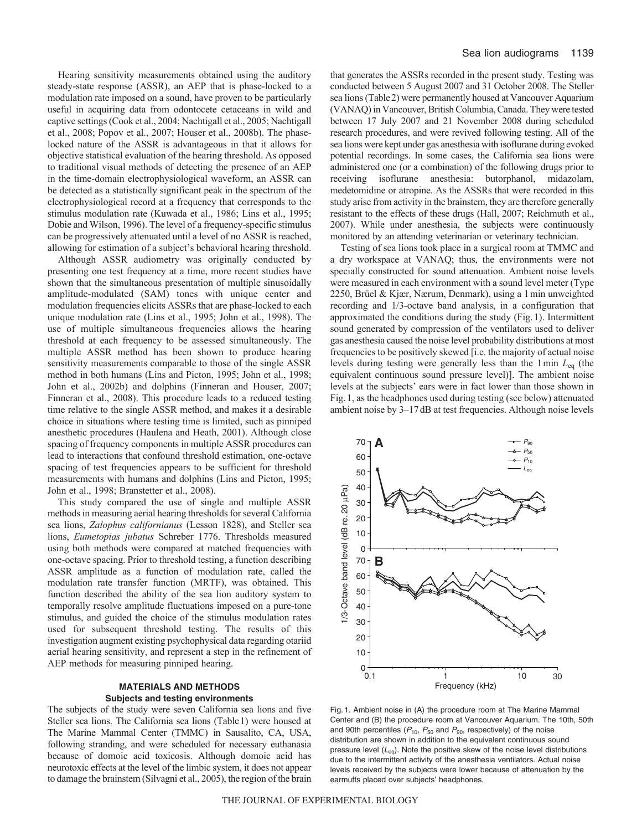Hearing sensitivity measurements obtained using the auditory steady-state response (ASSR), an AEP that is phase-locked to a modulation rate imposed on a sound, have proven to be particularly useful in acquiring data from odontocete cetaceans in wild and captive settings (Cook et al., 2004; Nachtigall et al., 2005; Nachtigall et al., 2008; Popov et al., 2007; Houser et al., 2008b). The phaselocked nature of the ASSR is advantageous in that it allows for objective statistical evaluation of the hearing threshold. As opposed to traditional visual methods of detecting the presence of an AEP in the time-domain electrophysiological waveform, an ASSR can be detected as a statistically significant peak in the spectrum of the electrophysiological record at a frequency that corresponds to the stimulus modulation rate (Kuwada et al., 1986; Lins et al., 1995; Dobie and Wilson, 1996). The level of a frequency-specific stimulus can be progressively attenuated until a level of no ASSR is reached, allowing for estimation of a subject's behavioral hearing threshold.

Although ASSR audiometry was originally conducted by presenting one test frequency at a time, more recent studies have shown that the simultaneous presentation of multiple sinusoidally amplitude-modulated (SAM) tones with unique center and modulation frequencies elicits ASSRs that are phase-locked to each unique modulation rate (Lins et al., 1995; John et al., 1998). The use of multiple simultaneous frequencies allows the hearing threshold at each frequency to be assessed simultaneously. The multiple ASSR method has been shown to produce hearing sensitivity measurements comparable to those of the single ASSR method in both humans (Lins and Picton, 1995; John et al., 1998; John et al., 2002b) and dolphins (Finneran and Houser, 2007; Finneran et al., 2008). This procedure leads to a reduced testing time relative to the single ASSR method, and makes it a desirable choice in situations where testing time is limited, such as pinniped anesthetic procedures (Haulena and Heath, 2001). Although close spacing of frequency components in multiple ASSR procedures can lead to interactions that confound threshold estimation, one-octave spacing of test frequencies appears to be sufficient for threshold measurements with humans and dolphins (Lins and Picton, 1995; John et al., 1998; Branstetter et al., 2008).

This study compared the use of single and multiple ASSR methods in measuring aerial hearing thresholds for several California sea lions, *Zalophus californianus* (Lesson 1828), and Steller sea lions, *Eumetopias jubatus* Schreber 1776. Thresholds measured using both methods were compared at matched frequencies with one-octave spacing. Prior to threshold testing, a function describing ASSR amplitude as a function of modulation rate, called the modulation rate transfer function (MRTF), was obtained. This function described the ability of the sea lion auditory system to temporally resolve amplitude fluctuations imposed on a pure-tone stimulus, and guided the choice of the stimulus modulation rates used for subsequent threshold testing. The results of this investigation augment existing psychophysical data regarding otariid aerial hearing sensitivity, and represent a step in the refinement of AEP methods for measuring pinniped hearing.

## **MATERIALS AND METHODS Subjects and testing environments**

The subjects of the study were seven California sea lions and five Steller sea lions. The California sea lions (Table1) were housed at The Marine Mammal Center (TMMC) in Sausalito, CA, USA, following stranding, and were scheduled for necessary euthanasia because of domoic acid toxicosis. Although domoic acid has neurotoxic effects at the level of the limbic system, it does not appear to damage the brainstem (Silvagni et al., 2005), the region of the brain that generates the ASSRs recorded in the present study. Testing was conducted between 5 August 2007 and 31 October 2008. The Steller sea lions (Table2) were permanently housed at Vancouver Aquarium (VANAQ) in Vancouver, British Columbia, Canada. They were tested between 17 July 2007 and 21 November 2008 during scheduled research procedures, and were revived following testing. All of the sea lions were kept under gas anesthesia with isoflurane during evoked potential recordings. In some cases, the California sea lions were administered one (or a combination) of the following drugs prior to receiving isoflurane anesthesia: butorphanol, midazolam, medetomidine or atropine. As the ASSRs that were recorded in this study arise from activity in the brainstem, they are therefore generally resistant to the effects of these drugs (Hall, 2007; Reichmuth et al., 2007). While under anesthesia, the subjects were continuously monitored by an attending veterinarian or veterinary technician.

Testing of sea lions took place in a surgical room at TMMC and a dry workspace at VANAQ; thus, the environments were not specially constructed for sound attenuation. Ambient noise levels were measured in each environment with a sound level meter (Type 2250, Brüel & Kjær, Nærum, Denmark), using a 1min unweighted recording and 1/3-octave band analysis, in a configuration that approximated the conditions during the study (Fig.1). Intermittent sound generated by compression of the ventilators used to deliver gas anesthesia caused the noise level probability distributions at most frequencies to be positively skewed [i.e. the majority of actual noise levels during testing were generally less than the 1min *L*eq (the equivalent continuous sound pressure level)]. The ambient noise levels at the subjects' ears were in fact lower than those shown in Fig.1, as the headphones used during testing (see below) attenuated ambient noise by 3–17dB at test frequencies. Although noise levels



Fig. 1. Ambient noise in (A) the procedure room at The Marine Mammal Center and (B) the procedure room at Vancouver Aquarium. The 10th, 50th and 90th percentiles  $(P_{10}, P_{50}$  and  $P_{90}$ , respectively) of the noise distribution are shown in addition to the equivalent continuous sound pressure level  $(L_{eq})$ . Note the positive skew of the noise level distributions due to the intermittent activity of the anesthesia ventilators. Actual noise levels received by the subjects were lower because of attenuation by the earmuffs placed over subjects' headphones.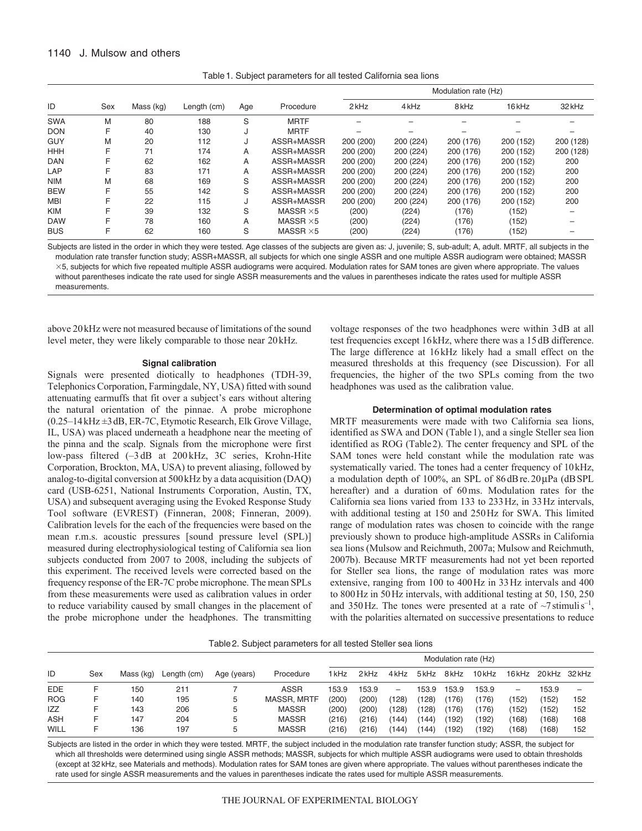| ID         | Sex | Mass (kg) | Length (cm) | Age | Procedure        | Modulation rate (Hz) |                  |                  |                   |           |  |  |
|------------|-----|-----------|-------------|-----|------------------|----------------------|------------------|------------------|-------------------|-----------|--|--|
|            |     |           |             |     |                  | $2$ kHz              | 4 <sub>kHz</sub> | 8 <sub>kHz</sub> | 16 <sub>kHz</sub> | 32 kHz    |  |  |
| <b>SWA</b> | M   | 80        | 188         | S   | <b>MRTF</b>      |                      |                  |                  |                   |           |  |  |
| <b>DON</b> | F   | 40        | 130         | J   | <b>MRTF</b>      |                      |                  |                  |                   |           |  |  |
| <b>GUY</b> | M   | 20        | 112         | J   | ASSR+MASSR       | 200 (200)            | 200 (224)        | 200 (176)        | 200 (152)         | 200 (128) |  |  |
| <b>HHH</b> | F   | 71        | 174         | A   | ASSR+MASSR       | 200 (200)            | 200 (224)        | 200 (176)        | 200 (152)         | 200 (128) |  |  |
| <b>DAN</b> | F   | 62        | 162         | A   | ASSR+MASSR       | 200 (200)            | 200 (224)        | 200 (176)        | 200 (152)         | 200       |  |  |
| LAP        | F   | 83        | 171         | A   | ASSR+MASSR       | 200 (200)            | 200 (224)        | 200 (176)        | 200 (152)         | 200       |  |  |
| <b>NIM</b> | M   | 68        | 169         | S   | ASSR+MASSR       | 200 (200)            | 200 (224)        | 200 (176)        | 200 (152)         | 200       |  |  |
| <b>BEW</b> | F   | 55        | 142         | S   | ASSR+MASSR       | 200 (200)            | 200 (224)        | 200 (176)        | 200 (152)         | 200       |  |  |
| <b>MBI</b> | F   | 22        | 115         | J   | ASSR+MASSR       | 200 (200)            | 200 (224)        | 200 (176)        | 200 (152)         | 200       |  |  |
| <b>KIM</b> | F   | 39        | 132         | S   | MASSR $\times$ 5 | (200)                | (224)            | (176)            | (152)             |           |  |  |
| <b>DAW</b> | F   | 78        | 160         | A   | MASSR $\times$ 5 | (200)                | (224)            | (176)            | (152)             |           |  |  |
| <b>BUS</b> | F   | 62        | 160         | S   | MASSR $\times$ 5 | (200)                | (224)            | (176)            | (152)             |           |  |  |

Table1. Subject parameters for all tested California sea lions

Subjects are listed in the order in which they were tested. Age classes of the subjects are given as: J, juvenile; S, sub-adult; A, adult. MRTF, all subjects in the modulation rate transfer function study; ASSR+MASSR, all subjects for which one single ASSR and one multiple ASSR audiogram were obtained; MASSR -5, subjects for which five repeated multiple ASSR audiograms were acquired. Modulation rates for SAM tones are given where appropriate. The values without parentheses indicate the rate used for single ASSR measurements and the values in parentheses indicate the rates used for multiple ASSR measurements.

above 20kHz were not measured because of limitations of the sound level meter, they were likely comparable to those near 20kHz.

#### **Signal calibration**

Signals were presented diotically to headphones (TDH-39, Telephonics Corporation, Farmingdale, NY, USA) fitted with sound attenuating earmuffs that fit over a subject's ears without altering the natural orientation of the pinnae. A probe microphone (0.25–14kHz ±3dB, ER-7C, Etymotic Research, Elk Grove Village, IL, USA) was placed underneath a headphone near the meeting of the pinna and the scalp. Signals from the microphone were first low-pass filtered (–3 dB at 200 kHz, 3C series, Krohn-Hite Corporation, Brockton, MA, USA) to prevent aliasing, followed by analog-to-digital conversion at 500kHz by a data acquisition (DAQ) card (USB-6251, National Instruments Corporation, Austin, TX, USA) and subsequent averaging using the Evoked Response Study Tool software (EVREST) (Finneran, 2008; Finneran, 2009). Calibration levels for the each of the frequencies were based on the mean r.m.s. acoustic pressures [sound pressure level (SPL)] measured during electrophysiological testing of California sea lion subjects conducted from 2007 to 2008, including the subjects of this experiment. The received levels were corrected based on the frequency response of the ER-7C probe microphone. The mean SPLs from these measurements were used as calibration values in order to reduce variability caused by small changes in the placement of the probe microphone under the headphones. The transmitting voltage responses of the two headphones were within 3dB at all test frequencies except 16kHz, where there was a 15dB difference. The large difference at 16kHz likely had a small effect on the measured thresholds at this frequency (see Discussion). For all frequencies, the higher of the two SPLs coming from the two headphones was used as the calibration value.

## **Determination of optimal modulation rates**

MRTF measurements were made with two California sea lions, identified as SWA and DON (Table1), and a single Steller sea lion identified as ROG (Table2). The center frequency and SPL of the SAM tones were held constant while the modulation rate was systematically varied. The tones had a center frequency of 10kHz, a modulation depth of  $100\%$ , an SPL of  $86$  dB re.  $20 \mu$ Pa (dB SPL hereafter) and a duration of 60ms. Modulation rates for the California sea lions varied from 133 to 233Hz, in 33Hz intervals, with additional testing at 150 and 250Hz for SWA. This limited range of modulation rates was chosen to coincide with the range previously shown to produce high-amplitude ASSRs in California sea lions (Mulsow and Reichmuth, 2007a; Mulsow and Reichmuth, 2007b). Because MRTF measurements had not yet been reported for Steller sea lions, the range of modulation rates was more extensive, ranging from 100 to 400Hz in 33Hz intervals and 400 to 800Hz in 50Hz intervals, with additional testing at 50, 150, 250 and 350Hz. The tones were presented at a rate of  $\sim$ 7 stimulis<sup>-1</sup>, with the polarities alternated on successive presentations to reduce

| Table 2. Subject parameters for all tested Steller sea lions |  |  |  |  |  |
|--------------------------------------------------------------|--|--|--|--|--|
|--------------------------------------------------------------|--|--|--|--|--|

|            |     |           |             |             |                    | Modulation rate (Hz) |         |       |       |       |                   |                   |                   |     |
|------------|-----|-----------|-------------|-------------|--------------------|----------------------|---------|-------|-------|-------|-------------------|-------------------|-------------------|-----|
| ID         | Sex | Mass (kg) | Length (cm) | Age (years) | Procedure          | 1 kHz                | $2$ kHz | 4 kHz | 5 kHz | 8 kHz | 10 <sub>kHz</sub> |                   | 16kHz 20kHz 32kHz |     |
| <b>EDE</b> |     | 150       | 211         |             | <b>ASSR</b>        | 153.9                | 153.9   | —     | 153.9 | 153.9 | 153.9             | $\qquad \qquad -$ | 153.9             |     |
| <b>ROG</b> | F   | 140       | 195         | 5           | <b>MASSR, MRTF</b> | (200)                | (200)   | (128) | (128) | (176  | (176)             | (152)             | (152)             | 152 |
| IZZ        | н.  | 143       | 206         | 5           | <b>MASSR</b>       | (200)                | (200)   | (128) | (128) | (176) | (176)             | (152)             | (152)             | 152 |
| ASH        | F   | 147       | 204         | 5           | <b>MASSR</b>       | (216)                | (216)   | (144) | (144) | (192) | (192)             | (168)             | (168)             | 168 |
| WILL       |     | 136       | 197         | 5           | <b>MASSR</b>       | (216)                | (216)   | (144) | (144) | (192) | (192)             | (168)             | (168)             | 152 |

Subjects are listed in the order in which they were tested. MRTF, the subject included in the modulation rate transfer function study; ASSR, the subject for which all thresholds were determined using single ASSR methods; MASSR, subjects for which multiple ASSR audiograms were used to obtain thresholds (except at 32 kHz, see Materials and methods). Modulation rates for SAM tones are given where appropriate. The values without parentheses indicate the rate used for single ASSR measurements and the values in parentheses indicate the rates used for multiple ASSR measurements.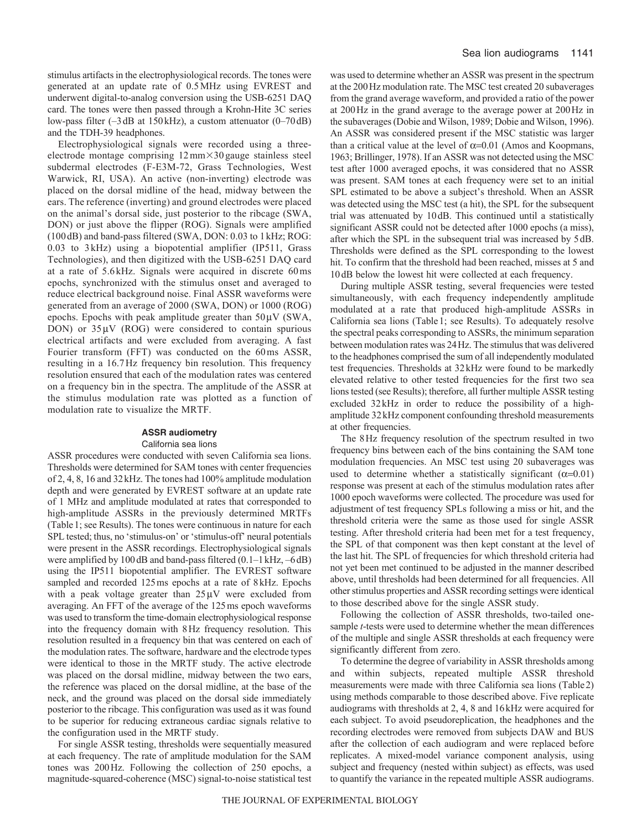stimulus artifacts in the electrophysiological records. The tones were generated at an update rate of 0.5MHz using EVREST and underwent digital-to-analog conversion using the USB-6251 DAQ card. The tones were then passed through a Krohn-Hite 3C series low-pass filter (–3dB at 150kHz), a custom attenuator (0–70dB) and the TDH-39 headphones.

Electrophysiological signals were recorded using a threeelectrode montage comprising  $12 \text{ mm} \times 30 \text{ gauge}$  stainless steel subdermal electrodes (F-E3M-72, Grass Technologies, West Warwick, RI, USA). An active (non-inverting) electrode was placed on the dorsal midline of the head, midway between the ears. The reference (inverting) and ground electrodes were placed on the animal's dorsal side, just posterior to the ribcage (SWA, DON) or just above the flipper (ROG). Signals were amplified (100dB) and band-pass filtered (SWA, DON: 0.03 to 1kHz; ROG: 0.03 to 3 kHz) using a biopotential amplifier (IP511, Grass Technologies), and then digitized with the USB-6251 DAQ card at a rate of 5.6 kHz. Signals were acquired in discrete 60ms epochs, synchronized with the stimulus onset and averaged to reduce electrical background noise. Final ASSR waveforms were generated from an average of 2000 (SWA, DON) or 1000 (ROG) epochs. Epochs with peak amplitude greater than  $50\mu$ V (SWA, DON) or  $35\mu$ V (ROG) were considered to contain spurious electrical artifacts and were excluded from averaging. A fast Fourier transform (FFT) was conducted on the 60ms ASSR, resulting in a 16.7Hz frequency bin resolution. This frequency resolution ensured that each of the modulation rates was centered on a frequency bin in the spectra. The amplitude of the ASSR at the stimulus modulation rate was plotted as a function of modulation rate to visualize the MRTF.

## **ASSR audiometry**

## California sea lions

ASSR procedures were conducted with seven California sea lions. Thresholds were determined for SAM tones with center frequencies of 2, 4, 8, 16 and 32kHz. The tones had 100% amplitude modulation depth and were generated by EVREST software at an update rate of 1 MHz and amplitude modulated at rates that corresponded to high-amplitude ASSRs in the previously determined MRTFs (Table1; see Results). The tones were continuous in nature for each SPL tested; thus, no 'stimulus-on' or 'stimulus-off' neural potentials were present in the ASSR recordings. Electrophysiological signals were amplified by 100 dB and band-pass filtered (0.1–1 kHz, –6 dB) using the IP511 biopotential amplifier. The EVREST software sampled and recorded 125ms epochs at a rate of 8kHz. Epochs with a peak voltage greater than  $25 \mu V$  were excluded from averaging. An FFT of the average of the 125ms epoch waveforms was used to transform the time-domain electrophysiological response into the frequency domain with 8Hz frequency resolution. This resolution resulted in a frequency bin that was centered on each of the modulation rates. The software, hardware and the electrode types were identical to those in the MRTF study. The active electrode was placed on the dorsal midline, midway between the two ears, the reference was placed on the dorsal midline, at the base of the neck, and the ground was placed on the dorsal side immediately posterior to the ribcage. This configuration was used as it was found to be superior for reducing extraneous cardiac signals relative to the configuration used in the MRTF study.

For single ASSR testing, thresholds were sequentially measured at each frequency. The rate of amplitude modulation for the SAM tones was 200Hz. Following the collection of 250 epochs, a magnitude-squared-coherence (MSC) signal-to-noise statistical test was used to determine whether an ASSR was present in the spectrum at the 200Hz modulation rate. The MSC test created 20 subaverages from the grand average waveform, and provided a ratio of the power at 200Hz in the grand average to the average power at 200Hz in the subaverages (Dobie and Wilson, 1989; Dobie and Wilson, 1996). An ASSR was considered present if the MSC statistic was larger than a critical value at the level of  $\alpha$ =0.01 (Amos and Koopmans, 1963; Brillinger, 1978). If an ASSR was not detected using the MSC test after 1000 averaged epochs, it was considered that no ASSR was present. SAM tones at each frequency were set to an initial SPL estimated to be above a subject's threshold. When an ASSR was detected using the MSC test (a hit), the SPL for the subsequent trial was attenuated by 10dB. This continued until a statistically significant ASSR could not be detected after 1000 epochs (a miss), after which the SPL in the subsequent trial was increased by 5dB. Thresholds were defined as the SPL corresponding to the lowest hit. To confirm that the threshold had been reached, misses at 5 and 10dB below the lowest hit were collected at each frequency.

During multiple ASSR testing, several frequencies were tested simultaneously, with each frequency independently amplitude modulated at a rate that produced high-amplitude ASSRs in California sea lions (Table1; see Results). To adequately resolve the spectral peaks corresponding to ASSRs, the minimum separation between modulation rates was 24Hz. The stimulus that was delivered to the headphones comprised the sum of all independently modulated test frequencies. Thresholds at 32kHz were found to be markedly elevated relative to other tested frequencies for the first two sea lions tested (see Results); therefore, all further multiple ASSR testing excluded 32kHz in order to reduce the possibility of a highamplitude 32kHz component confounding threshold measurements at other frequencies.

The 8Hz frequency resolution of the spectrum resulted in two frequency bins between each of the bins containing the SAM tone modulation frequencies. An MSC test using 20 subaverages was used to determine whether a statistically significant  $(\alpha=0.01)$ response was present at each of the stimulus modulation rates after 1000 epoch waveforms were collected. The procedure was used for adjustment of test frequency SPLs following a miss or hit, and the threshold criteria were the same as those used for single ASSR testing. After threshold criteria had been met for a test frequency, the SPL of that component was then kept constant at the level of the last hit. The SPL of frequencies for which threshold criteria had not yet been met continued to be adjusted in the manner described above, until thresholds had been determined for all frequencies. All other stimulus properties and ASSR recording settings were identical to those described above for the single ASSR study.

Following the collection of ASSR thresholds, two-tailed onesample *t*-tests were used to determine whether the mean differences of the multiple and single ASSR thresholds at each frequency were significantly different from zero.

To determine the degree of variability in ASSR thresholds among and within subjects, repeated multiple ASSR threshold measurements were made with three California sea lions (Table2) using methods comparable to those described above. Five replicate audiograms with thresholds at 2, 4, 8 and 16kHz were acquired for each subject. To avoid pseudoreplication, the headphones and the recording electrodes were removed from subjects DAW and BUS after the collection of each audiogram and were replaced before replicates. A mixed-model variance component analysis, using subject and frequency (nested within subject) as effects, was used to quantify the variance in the repeated multiple ASSR audiograms.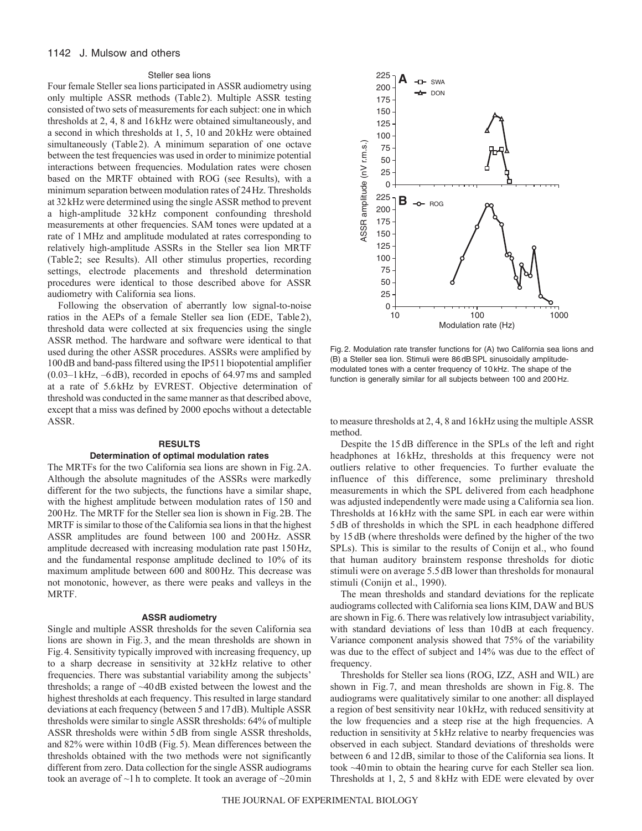#### Steller sea lions

Four female Steller sea lions participated in ASSR audiometry using only multiple ASSR methods (Table2). Multiple ASSR testing consisted of two sets of measurements for each subject: one in which thresholds at 2, 4, 8 and 16kHz were obtained simultaneously, and a second in which thresholds at 1, 5, 10 and 20kHz were obtained simultaneously (Table2). A minimum separation of one octave between the test frequencies was used in order to minimize potential interactions between frequencies. Modulation rates were chosen based on the MRTF obtained with ROG (see Results), with a minimum separation between modulation rates of 24Hz. Thresholds at 32kHz were determined using the single ASSR method to prevent a high-amplitude 32 kHz component confounding threshold measurements at other frequencies. SAM tones were updated at a rate of 1MHz and amplitude modulated at rates corresponding to relatively high-amplitude ASSRs in the Steller sea lion MRTF (Table2; see Results). All other stimulus properties, recording settings, electrode placements and threshold determination procedures were identical to those described above for ASSR audiometry with California sea lions.

Following the observation of aberrantly low signal-to-noise ratios in the AEPs of a female Steller sea lion (EDE, Table2), threshold data were collected at six frequencies using the single ASSR method. The hardware and software were identical to that used during the other ASSR procedures. ASSRs were amplified by 100dB and band-pass filtered using the IP511 biopotential amplifier (0.03–1kHz, –6dB), recorded in epochs of 64.97ms and sampled at a rate of 5.6kHz by EVREST. Objective determination of threshold was conducted in the same manner as that described above, except that a miss was defined by 2000 epochs without a detectable ASSR.

## **RESULTS**

#### **Determination of optimal modulation rates**

The MRTFs for the two California sea lions are shown in Fig.2A. Although the absolute magnitudes of the ASSRs were markedly different for the two subjects, the functions have a similar shape, with the highest amplitude between modulation rates of 150 and 200Hz. The MRTF for the Steller sea lion is shown in Fig.2B. The MRTF is similar to those of the California sea lions in that the highest ASSR amplitudes are found between 100 and 200Hz. ASSR amplitude decreased with increasing modulation rate past 150Hz, and the fundamental response amplitude declined to 10% of its maximum amplitude between 600 and 800Hz. This decrease was not monotonic, however, as there were peaks and valleys in the MRTF.

## **ASSR audiometry**

Single and multiple ASSR thresholds for the seven California sea lions are shown in Fig.3, and the mean thresholds are shown in Fig.4. Sensitivity typically improved with increasing frequency, up to a sharp decrease in sensitivity at 32 kHz relative to other frequencies. There was substantial variability among the subjects' thresholds; a range of ~40dB existed between the lowest and the highest thresholds at each frequency. This resulted in large standard deviations at each frequency (between 5 and 17dB). Multiple ASSR thresholds were similar to single ASSR thresholds: 64% of multiple ASSR thresholds were within 5dB from single ASSR thresholds, and 82% were within 10dB (Fig.5). Mean differences between the thresholds obtained with the two methods were not significantly different from zero. Data collection for the single ASSR audiograms took an average of  $\sim$ 1 h to complete. It took an average of  $\sim$ 20 min



Fig. 2. Modulation rate transfer functions for (A) two California sea lions and (B) a Steller sea lion. Stimuli were 86 dBSPL sinusoidally amplitudemodulated tones with a center frequency of 10 kHz. The shape of the function is generally similar for all subjects between 100 and 200 Hz.

to measure thresholds at 2, 4, 8 and 16kHz using the multiple ASSR method.

Despite the 15 dB difference in the SPLs of the left and right headphones at 16 kHz, thresholds at this frequency were not outliers relative to other frequencies. To further evaluate the influence of this difference, some preliminary threshold measurements in which the SPL delivered from each headphone was adjusted independently were made using a California sea lion. Thresholds at 16 kHz with the same SPL in each ear were within 5 dB of thresholds in which the SPL in each headphone differed by 15 dB (where thresholds were defined by the higher of the two SPLs). This is similar to the results of Conijn et al., who found that human auditory brainstem response thresholds for diotic stimuli were on average 5.5 dB lower than thresholds for monaural stimuli (Conijn et al., 1990).

The mean thresholds and standard deviations for the replicate audiograms collected with California sea lions KIM, DAW and BUS are shown in Fig.6. There was relatively low intrasubject variability, with standard deviations of less than 10dB at each frequency. Variance component analysis showed that 75% of the variability was due to the effect of subject and 14% was due to the effect of frequency.

Thresholds for Steller sea lions (ROG, IZZ, ASH and WIL) are shown in Fig.7, and mean thresholds are shown in Fig.8. The audiograms were qualitatively similar to one another: all displayed a region of best sensitivity near 10kHz, with reduced sensitivity at the low frequencies and a steep rise at the high frequencies. A reduction in sensitivity at 5kHz relative to nearby frequencies was observed in each subject. Standard deviations of thresholds were between 6 and 12dB, similar to those of the California sea lions. It took ~40min to obtain the hearing curve for each Steller sea lion. Thresholds at 1, 2, 5 and 8kHz with EDE were elevated by over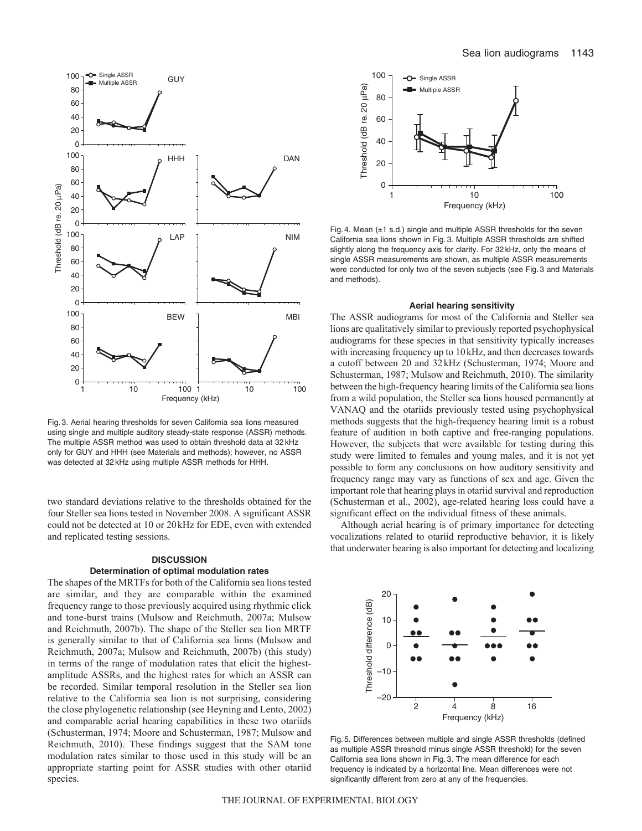

Fig. 3. Aerial hearing thresholds for seven California sea lions measured using single and multiple auditory steady-state response (ASSR) methods. The multiple ASSR method was used to obtain threshold data at 32 kHz only for GUY and HHH (see Materials and methods); however, no ASSR was detected at 32 kHz using multiple ASSR methods for HHH.

two standard deviations relative to the thresholds obtained for the four Steller sea lions tested in November 2008. A significant ASSR could not be detected at 10 or 20kHz for EDE, even with extended and replicated testing sessions.

# **DISCUSSION**

## **Determination of optimal modulation rates**

The shapes of the MRTFs for both of the California sea lions tested are similar, and they are comparable within the examined frequency range to those previously acquired using rhythmic click and tone-burst trains (Mulsow and Reichmuth, 2007a; Mulsow and Reichmuth, 2007b). The shape of the Steller sea lion MRTF is generally similar to that of California sea lions (Mulsow and Reichmuth, 2007a; Mulsow and Reichmuth, 2007b) (this study) in terms of the range of modulation rates that elicit the highestamplitude ASSRs, and the highest rates for which an ASSR can be recorded. Similar temporal resolution in the Steller sea lion relative to the California sea lion is not surprising, considering the close phylogenetic relationship (see Heyning and Lento, 2002) and comparable aerial hearing capabilities in these two otariids (Schusterman, 1974; Moore and Schusterman, 1987; Mulsow and Reichmuth, 2010). These findings suggest that the SAM tone modulation rates similar to those used in this study will be an appropriate starting point for ASSR studies with other otariid species.



Fig. 4. Mean  $(\pm 1 \text{ s.d.})$  single and multiple ASSR thresholds for the seven California sea lions shown in Fig. 3. Multiple ASSR thresholds are shifted slightly along the frequency axis for clarity. For 32 kHz, only the means of single ASSR measurements are shown, as multiple ASSR measurements were conducted for only two of the seven subjects (see Fig. 3 and Materials and methods).

## **Aerial hearing sensitivity**

The ASSR audiograms for most of the California and Steller sea lions are qualitatively similar to previously reported psychophysical audiograms for these species in that sensitivity typically increases with increasing frequency up to 10kHz, and then decreases towards a cutoff between 20 and 32kHz (Schusterman, 1974; Moore and Schusterman, 1987; Mulsow and Reichmuth, 2010). The similarity between the high-frequency hearing limits of the California sea lions from a wild population, the Steller sea lions housed permanently at VANAQ and the otariids previously tested using psychophysical methods suggests that the high-frequency hearing limit is a robust feature of audition in both captive and free-ranging populations. However, the subjects that were available for testing during this study were limited to females and young males, and it is not yet possible to form any conclusions on how auditory sensitivity and frequency range may vary as functions of sex and age. Given the important role that hearing plays in otariid survival and reproduction (Schusterman et al., 2002), age-related hearing loss could have a significant effect on the individual fitness of these animals.

Although aerial hearing is of primary importance for detecting vocalizations related to otariid reproductive behavior, it is likely that underwater hearing is also important for detecting and localizing



Fig. 5. Differences between multiple and single ASSR thresholds (defined as multiple ASSR threshold minus single ASSR threshold) for the seven California sea lions shown in Fig. 3. The mean difference for each frequency is indicated by a horizontal line. Mean differences were not significantly different from zero at any of the frequencies.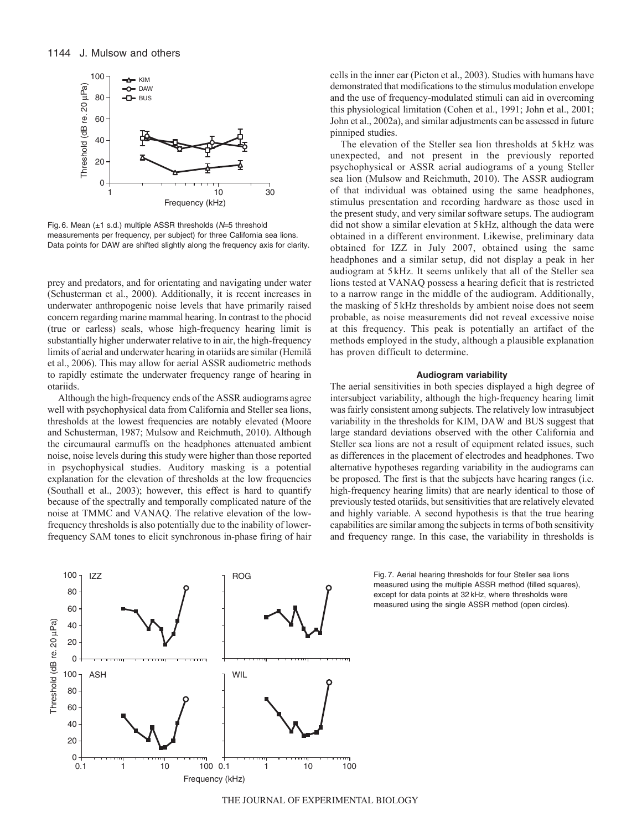

Fig. 6. Mean  $(\pm 1 \text{ s.d.})$  multiple ASSR thresholds ( $N=5$  threshold measurements per frequency, per subject) for three California sea lions. Data points for DAW are shifted slightly along the frequency axis for clarity.

prey and predators, and for orientating and navigating under water (Schusterman et al., 2000). Additionally, it is recent increases in underwater anthropogenic noise levels that have primarily raised concern regarding marine mammal hearing. In contrast to the phocid (true or earless) seals, whose high-frequency hearing limit is substantially higher underwater relative to in air, the high-frequency limits of aerial and underwater hearing in otariids are similar (Hemilä et al., 2006). This may allow for aerial ASSR audiometric methods to rapidly estimate the underwater frequency range of hearing in otariids.

Although the high-frequency ends of the ASSR audiograms agree well with psychophysical data from California and Steller sea lions, thresholds at the lowest frequencies are notably elevated (Moore and Schusterman, 1987; Mulsow and Reichmuth, 2010). Although the circumaural earmuffs on the headphones attenuated ambient noise, noise levels during this study were higher than those reported in psychophysical studies. Auditory masking is a potential explanation for the elevation of thresholds at the low frequencies (Southall et al., 2003); however, this effect is hard to quantify because of the spectrally and temporally complicated nature of the noise at TMMC and VANAQ. The relative elevation of the lowfrequency thresholds is also potentially due to the inability of lowerfrequency SAM tones to elicit synchronous in-phase firing of hair cells in the inner ear (Picton et al., 2003). Studies with humans have demonstrated that modifications to the stimulus modulation envelope and the use of frequency-modulated stimuli can aid in overcoming this physiological limitation (Cohen et al., 1991; John et al., 2001; John et al., 2002a), and similar adjustments can be assessed in future pinniped studies.

The elevation of the Steller sea lion thresholds at 5 kHz was unexpected, and not present in the previously reported psychophysical or ASSR aerial audiograms of a young Steller sea lion (Mulsow and Reichmuth, 2010). The ASSR audiogram of that individual was obtained using the same headphones, stimulus presentation and recording hardware as those used in the present study, and very similar software setups. The audiogram did not show a similar elevation at 5 kHz, although the data were obtained in a different environment. Likewise, preliminary data obtained for IZZ in July 2007, obtained using the same headphones and a similar setup, did not display a peak in her audiogram at 5 kHz. It seems unlikely that all of the Steller sea lions tested at VANAQ possess a hearing deficit that is restricted to a narrow range in the middle of the audiogram. Additionally, the masking of 5 kHz thresholds by ambient noise does not seem probable, as noise measurements did not reveal excessive noise at this frequency. This peak is potentially an artifact of the methods employed in the study, although a plausible explanation has proven difficult to determine.

#### **Audiogram variability**

The aerial sensitivities in both species displayed a high degree of intersubject variability, although the high-frequency hearing limit was fairly consistent among subjects. The relatively low intrasubject variability in the thresholds for KIM, DAW and BUS suggest that large standard deviations observed with the other California and Steller sea lions are not a result of equipment related issues, such as differences in the placement of electrodes and headphones. Two alternative hypotheses regarding variability in the audiograms can be proposed. The first is that the subjects have hearing ranges (i.e. high-frequency hearing limits) that are nearly identical to those of previously tested otariids, but sensitivities that are relatively elevated and highly variable. A second hypothesis is that the true hearing capabilities are similar among the subjects in terms of both sensitivity and frequency range. In this case, the variability in thresholds is



Fig. 7. Aerial hearing thresholds for four Steller sea lions measured using the multiple ASSR method (filled squares), except for data points at 32 kHz, where thresholds were measured using the single ASSR method (open circles).

THE JOURNAL OF EXPERIMENTAL BIOLOGY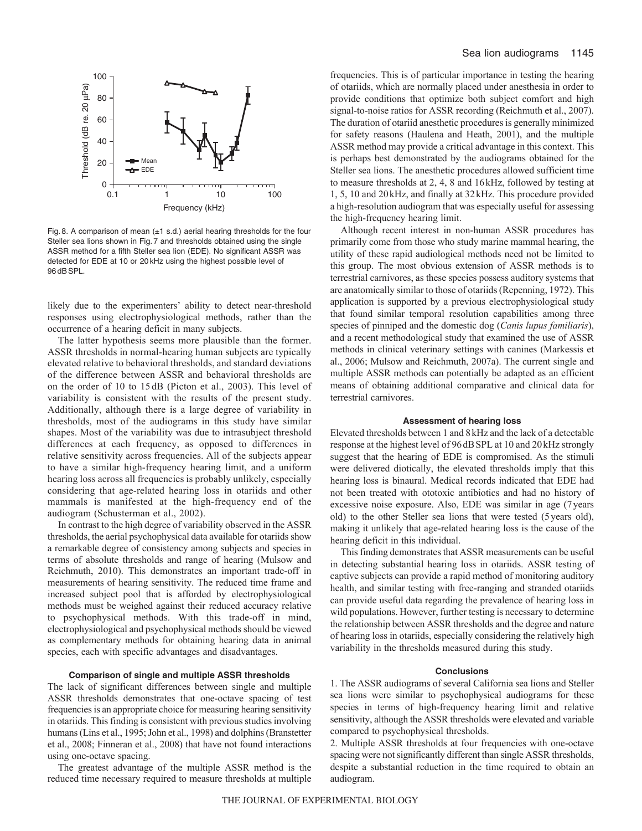

Fig. 8. A comparison of mean  $(\pm 1 \text{ s.d.})$  aerial hearing thresholds for the four Steller sea lions shown in Fig. 7 and thresholds obtained using the single ASSR method for a fifth Steller sea lion (EDE). No significant ASSR was detected for EDE at 10 or 20 kHz using the highest possible level of 96 dBSPL.

likely due to the experimenters' ability to detect near-threshold responses using electrophysiological methods, rather than the occurrence of a hearing deficit in many subjects.

The latter hypothesis seems more plausible than the former. ASSR thresholds in normal-hearing human subjects are typically elevated relative to behavioral thresholds, and standard deviations of the difference between ASSR and behavioral thresholds are on the order of 10 to 15 dB (Picton et al., 2003). This level of variability is consistent with the results of the present study. Additionally, although there is a large degree of variability in thresholds, most of the audiograms in this study have similar shapes. Most of the variability was due to intrasubject threshold differences at each frequency, as opposed to differences in relative sensitivity across frequencies. All of the subjects appear to have a similar high-frequency hearing limit, and a uniform hearing loss across all frequencies is probably unlikely, especially considering that age-related hearing loss in otariids and other mammals is manifested at the high-frequency end of the audiogram (Schusterman et al., 2002).

In contrast to the high degree of variability observed in the ASSR thresholds, the aerial psychophysical data available for otariids show a remarkable degree of consistency among subjects and species in terms of absolute thresholds and range of hearing (Mulsow and Reichmuth, 2010). This demonstrates an important trade-off in measurements of hearing sensitivity. The reduced time frame and increased subject pool that is afforded by electrophysiological methods must be weighed against their reduced accuracy relative to psychophysical methods. With this trade-off in mind, electrophysiological and psychophysical methods should be viewed as complementary methods for obtaining hearing data in animal species, each with specific advantages and disadvantages.

#### **Comparison of single and multiple ASSR thresholds**

The lack of significant differences between single and multiple ASSR thresholds demonstrates that one-octave spacing of test frequencies is an appropriate choice for measuring hearing sensitivity in otariids. This finding is consistent with previous studies involving humans (Lins et al., 1995; John et al., 1998) and dolphins (Branstetter et al., 2008; Finneran et al., 2008) that have not found interactions using one-octave spacing.

The greatest advantage of the multiple ASSR method is the reduced time necessary required to measure thresholds at multiple frequencies. This is of particular importance in testing the hearing of otariids, which are normally placed under anesthesia in order to provide conditions that optimize both subject comfort and high signal-to-noise ratios for ASSR recording (Reichmuth et al., 2007). The duration of otariid anesthetic procedures is generally minimized for safety reasons (Haulena and Heath, 2001), and the multiple ASSR method may provide a critical advantage in this context. This is perhaps best demonstrated by the audiograms obtained for the Steller sea lions. The anesthetic procedures allowed sufficient time to measure thresholds at 2, 4, 8 and 16kHz, followed by testing at 1, 5, 10 and 20kHz, and finally at 32kHz. This procedure provided a high-resolution audiogram that was especially useful for assessing the high-frequency hearing limit.

Although recent interest in non-human ASSR procedures has primarily come from those who study marine mammal hearing, the utility of these rapid audiological methods need not be limited to this group. The most obvious extension of ASSR methods is to terrestrial carnivores, as these species possess auditory systems that are anatomically similar to those of otariids (Repenning, 1972). This application is supported by a previous electrophysiological study that found similar temporal resolution capabilities among three species of pinniped and the domestic dog (*Canis lupus familiaris*), and a recent methodological study that examined the use of ASSR methods in clinical veterinary settings with canines (Markessis et al., 2006; Mulsow and Reichmuth, 2007a). The current single and multiple ASSR methods can potentially be adapted as an efficient means of obtaining additional comparative and clinical data for terrestrial carnivores.

### **Assessment of hearing loss**

Elevated thresholds between 1 and 8kHz and the lack of a detectable response at the highest level of 96dBSPL at 10 and 20kHz strongly suggest that the hearing of EDE is compromised. As the stimuli were delivered diotically, the elevated thresholds imply that this hearing loss is binaural. Medical records indicated that EDE had not been treated with ototoxic antibiotics and had no history of excessive noise exposure. Also, EDE was similar in age (7years old) to the other Steller sea lions that were tested (5years old), making it unlikely that age-related hearing loss is the cause of the hearing deficit in this individual.

This finding demonstrates that ASSR measurements can be useful in detecting substantial hearing loss in otariids. ASSR testing of captive subjects can provide a rapid method of monitoring auditory health, and similar testing with free-ranging and stranded otariids can provide useful data regarding the prevalence of hearing loss in wild populations. However, further testing is necessary to determine the relationship between ASSR thresholds and the degree and nature of hearing loss in otariids, especially considering the relatively high variability in the thresholds measured during this study.

#### **Conclusions**

1. The ASSR audiograms of several California sea lions and Steller sea lions were similar to psychophysical audiograms for these species in terms of high-frequency hearing limit and relative sensitivity, although the ASSR thresholds were elevated and variable compared to psychophysical thresholds.

2. Multiple ASSR thresholds at four frequencies with one-octave spacing were not significantly different than single ASSR thresholds, despite a substantial reduction in the time required to obtain an audiogram.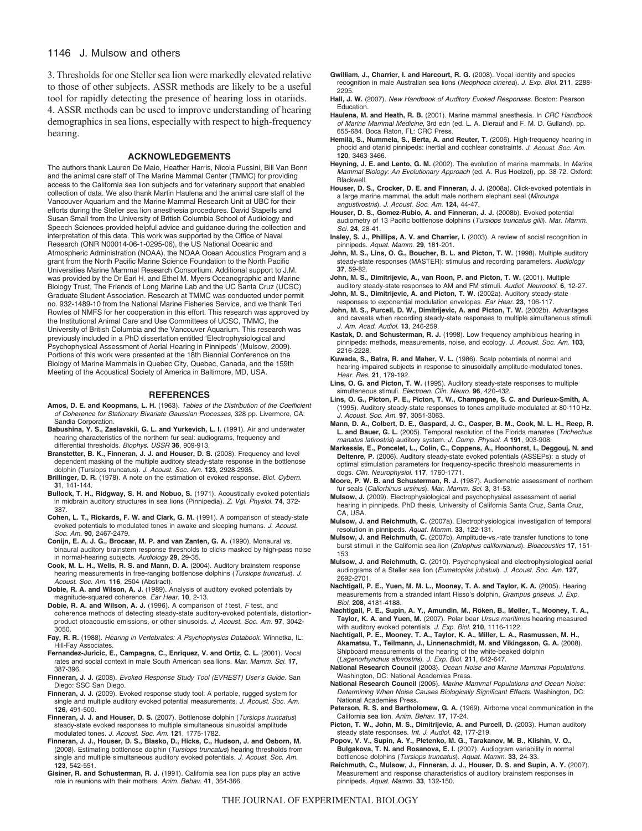## 1146 J. Mulsow and others

3. Thresholds for one Steller sea lion were markedly elevated relative to those of other subjects. ASSR methods are likely to be a useful tool for rapidly detecting the presence of hearing loss in otariids. 4. ASSR methods can be used to improve understanding of hearing demographics in sea lions, especially with respect to high-frequency hearing.

#### **ACKNOWLEDGEMENTS**

The authors thank Lauren De Maio, Heather Harris, Nicola Pussini, Bill Van Bonn and the animal care staff of The Marine Mammal Center (TMMC) for providing access to the California sea lion subjects and for veterinary support that enabled collection of data. We also thank Martin Haulena and the animal care staff of the Vancouver Aquarium and the Marine Mammal Research Unit at UBC for their efforts during the Steller sea lion anesthesia procedures. David Stapells and Susan Small from the University of British Columbia School of Audiology and Speech Sciences provided helpful advice and guidance during the collection and interpretation of this data. This work was supported by the Office of Naval Research (ONR N00014-06-1-0295-06), the US National Oceanic and Atmospheric Administration (NOAA), the NOAA Ocean Acoustics Program and a grant from the North Pacific Marine Science Foundation to the North Pacific Universities Marine Mammal Research Consortium. Additional support to J.M. was provided by the Dr Earl H. and Ethel M. Myers Oceanographic and Marine Biology Trust, The Friends of Long Marine Lab and the UC Santa Cruz (UCSC) Graduate Student Association. Research at TMMC was conducted under permit no. 932-1489-10 from the National Marine Fisheries Service, and we thank Teri Rowles of NMFS for her cooperation in this effort. This research was approved by the Institutional Animal Care and Use Committees of UCSC, TMMC, the University of British Columbia and the Vancouver Aquarium. This research was previously included in a PhD dissertation entitled 'Electrophysiological and Psychophysical Assessment of Aerial Hearing in Pinnipeds' (Mulsow, 2009). Portions of this work were presented at the 18th Biennial Conference on the Biology of Marine Mammals in Quebec City, Quebec, Canada, and the 159th Meeting of the Acoustical Society of America in Baltimore, MD, USA.

#### **REFERENCES**

- **Amos, D. E. and Koopmans, L. H.** (1963). Tables of the Distribution of the Coefficient of Coherence for Stationary Bivariate Gaussian Processes, 328 pp. Livermore, CA: Sandia Corporation.
- **Babushina, Y. S., Zaslavskii, G. L. and Yurkevich, L. I.** (1991). Air and underwater hearing characteristics of the northern fur seal: audiograms, frequency and differential thresholds. Biophys. USSR **36**, 909-913.
- **Branstetter, B. K., Finneran, J. J. and Houser, D. S.** (2008). Frequency and level dependent masking of the multiple auditory steady-state response in the bottlenose dolphin (Tursiops truncatus). J. Acoust. Soc. Am. **123**, 2928-2935.
- **Brillinger, D. R.** (1978). A note on the estimation of evoked response. Biol. Cybern. **31**, 141-144.
- **Bullock, T. H., Ridgway, S. H. and Nobuo, S.** (1971). Acoustically evoked potentials in midbrain auditory structures in sea lions (Pinnipedia). Z. Vgl. Physiol. **74**, 372- 387.
- **Cohen, L. T., Rickards, F. W. and Clark, G. M.** (1991). A comparison of steady-state evoked potentials to modulated tones in awake and sleeping humans. J. Acoust. Soc. Am. **90**, 2467-2479.
- **Conijn, E. A. J. G., Brocaar, M. P. and van Zanten, G. A.** (1990). Monaural vs. binaural auditory brainstem response thresholds to clicks masked by high-pass noise in normal-hearing subjects. Audiology **29**, 29-35.
- **Cook, M. L. H., Wells, R. S. and Mann, D. A.** (2004). Auditory brainstem response hearing measurements in free-ranging bottlenose dolphins (Tursiops truncatus). J. Acoust. Soc. Am. **116**, 2504 (Abstract).
- **Dobie, R. A. and Wilson, A. J.** (1989). Analysis of auditory evoked potentials by magnitude-squared coherence. Ear Hear. **10**, 2-13.
- **Dobie, R. A. and Wilson, A. J.** (1996). A comparison of <sup>t</sup> test, F test, and coherence methods of detecting steady-state auditory-evoked potentials, distortionproduct otoacoustic emissions, or other sinusoids. J. Acoust. Soc. Am. **97**, 3042- 3050.
- **Fay, R. R.** (1988). Hearing in Vertebrates: A Psychophysics Databook. Winnetka, IL: Hill-Fay Associates.
- **Fernandez-Juricic, E., Campagna, C., Enriquez, V. and Ortiz, C. L.** (2001). Vocal rates and social context in male South American sea lions. Mar. Mamm. Sci. **17**, 387-396.
- Finneran, J. J. (2008). Evoked Response Study Tool (EVREST) User's Guide. San Diego: SSC San Diego.
- **Finneran, J. J.** (2009). Evoked response study tool: A portable, rugged system for single and multiple auditory evoked potential measurements. J. Acoust. Soc. Am. **126**, 491-500.
- **Finneran, J. J. and Houser, D. S.** (2007). Bottlenose dolphin (Tursiops truncatus) steady-state evoked responses to multiple simultaneous sinusoidal amplitude modulated tones. J. Acoust. Soc. Am. **121**, 1775-1782.
- **Finneran, J. J., Houser, D. S., Blasko, D., Hicks, C., Hudson, J. and Osborn, M.** (2008). Estimating bottlenose dolphin (Tursiops truncatus) hearing thresholds from single and multiple simultaneous auditory evoked potentials. J. Acoust. Soc. Am. **123**, 542-551.
- **Gisiner, R. and Schusterman, R. J.** (1991). California sea lion pups play an active role in reunions with their mothers. Anim. Behav. **41**, 364-366.
- **Gwilliam, J., Charrier, I. and Harcourt, R. G.** (2008). Vocal identity and species recognition in male Australian sea lions (Neophoca cinerea). J. Exp. Biol. **211**, 2288- 2295.
- Hall, J. W. (2007). New Handbook of Auditory Evoked Responses. Boston: Pearson **Education**
- Haulena, M. and Heath, R. B. (2001). Marine mammal anesthesia. In CRC Handbook of Marine Mammal Medicine, 3rd edn (ed. L. A. Dierauf and F. M. D. Gulland), pp. 655-684. Boca Raton, FL: CRC Press.
- **Hemilä, S., Nummela, S., Berta, A. and Reuter, T.** (2006). High-frequency hearing in phocid and otariid pinnipeds: inertial and cochlear constraints. J. Acoust. Soc. Am. **120**, 3463-3466.
- **Heyning, J. E. and Lento, G. M.** (2002). The evolution of marine mammals. In Marine Mammal Biology: An Evolutionary Approach (ed. A. Rus Hoelzel), pp. 38-72. Oxford: Blackwell.
- **Houser, D. S., Crocker, D. E. and Finneran, J. J.** (2008a). Click-evoked potentials in a large marine mammal, the adult male northern elephant seal (Mirounga angustirostris). J. Acoust. Soc. Am. **124**, 44-47.
- **Houser, D. S., Gomez-Rubio, A. and Finneran, J. J.** (2008b). Evoked potential audiometry of 13 Pacific bottlenose dolphins (Tursiops truncatus gilli). Mar. Mamm. Sci. **24**, 28-41.
- **Insley, S. J., Phillips, A. V. and Charrier, I.** (2003). A review of social recognition in pinnipeds. Aquat. Mamm. **29**, 181-201.
- **John, M. S., Lins, O. G., Boucher, B. L. and Picton, T. W.** (1998). Multiple auditory steady-state responses (MASTER): stimulus and recording parameters. Audiology **37**, 59-82.
- **John, M. S., Dimitrijevic, A., van Roon, P. and Picton, T. W.** (2001). Multiple auditory steady-state responses to AM and FM stimuli. Audiol. Neurootol. **6**, 12-27.
- **John, M. S., Dimitrijevic, A. and Picton, T. W.** (2002a). Auditory steady-state responses to exponential modulation envelopes. Ear Hear. **23**, 106-117.
- **John, M. S., Purcell, D. W., Dimitrijevic, A. and Picton, T. W.** (2002b). Advantages and caveats when recording steady-state responses to multiple simultaneous stimuli. J. Am. Acad. Audiol. **13**, 246-259.
- **Kastak, D. and Schusterman, R. J.** (1998). Low frequency amphibious hearing in pinnipeds: methods, measurements, noise, and ecology. J. Acoust. Soc. Am. **103**, 2216-2228.
- **Kuwada, S., Batra, R. and Maher, V. L.** (1986). Scalp potentials of normal and hearing-impaired subjects in response to sinusoidally amplitude-modulated tones. Hear. Res. **21**, 179-192.
- **Lins, O. G. and Picton, T. W.** (1995). Auditory steady-state responses to multiple simultaneous stimuli. Electroen. Clin. Neuro. **96**, 420-432.
- **Lins, O. G., Picton, P. E., Picton, T. W., Champagne, S. C. and Durieux-Smith, A.** (1995). Auditory steady-state responses to tones amplitude-modulated at 80-110 Hz. J. Acoust. Soc. Am. **97**, 3051-3063.
- **Mann, D. A., Colbert, D. E., Gaspard, J. C., Casper, B. M., Cook, M. L. H., Reep, R. L. and Bauer, G. L.** (2005). Temporal resolution of the Florida manatee (Trichechus manatus latirostris) auditory system. J. Comp. Physiol. A **191**, 903-908.
- **Markessis, E., Poncelet, L., Colin, C., Coppens, A., Hoonhorst, I., Deggouj, N. and Deltenre, P.** (2006). Auditory steady-state evoked potentials (ASSEPs): a study of optimal stimulation parameters for frequency-specific threshold measurements in dogs. Clin. Neurophysiol. **117**, 1760-1771.
- **Moore, P. W. B. and Schusterman, R. J.** (1987). Audiometric assessment of northern fur seals (Callorhinus ursinus). Mar. Mamm. Sci. **3**, 31-53.
- **Mulsow, J.** (2009). Electrophysiological and psychophysical assessment of aerial hearing in pinnipeds. PhD thesis, University of California Santa Cruz, Santa Cruz, CA, USA.
- **Mulsow, J. and Reichmuth, C.** (2007a). Electrophysiological investigation of temporal resolution in pinnipeds. Aquat. Mamm. **33**, 122-131.
- **Mulsow, J. and Reichmuth, C.** (2007b). Amplitude-vs.-rate transfer functions to tone burst stimuli in the California sea lion (Zalophus californianus). Bioacoustics **17**, 151- 153.
- **Mulsow, J. and Reichmuth, C.** (2010). Psychophysical and electrophysiological aerial audiograms of a Steller sea lion (Eumetopias jubatus). J. Acoust. Soc. Am. **127**, 2692-2701.
- **Nachtigall, P. E., Yuen, M. M. L., Mooney, T. A. and Taylor, K. A.** (2005). Hearing measurements from a stranded infant Risso's dolphin, Grampus griseus. J. Exp. Biol. **208**, 4181-4188.
- **Nachtigall, P. E., Supin, A. Y., Amundin, M., Röken, B., Møller, T., Mooney, T. A., Taylor, K. A. and Yuen, M.** (2007). Polar bear Ursus maritimus hearing measured with auditory evoked potentials. J. Exp. Biol. **210**, 1116-1122.
- **Nachtigall, P. E., Mooney, T. A., Taylor, K. A., Miller, L. A., Rasmussen, M. H., Akamatsu, T., Teilmann, J., Linnenschmidt, M. and Vikingsson, G. A.** (2008). Shipboard measurements of the hearing of the white-beaked dolphin (Lagenorhynchus albirostris). J. Exp. Biol. **211**, 642-647.
- **National Research Council** (2003). Ocean Noise and Marine Mammal Populations. Washington, DC: National Academies Press.
- **National Research Council** (2005). Marine Mammal Populations and Ocean Noise: Determining When Noise Causes Biologically Significant Effects. Washington, DC: National Academies Press.
- **Peterson, R. S. and Bartholomew, G. A.** (1969). Airborne vocal communication in the California sea lion. Anim. Behav. **17**, 17-24.
- **Picton, T. W., John, M. S., Dimitrijevic, A. and Purcell, D.** (2003). Human auditory steady state responses. Int. J. Audiol. **42**, 177-219. **Popov, V. V., Supin, A. Y., Pletenko, M. G., Tarakanov, M. B., Klishin, V. O.,**
- **Bulgakova, T. N. and Rosanova, E. I.** (2007). Audiogram variability in normal bottlenose dolphins (Tursiops truncatus). Aquat. Mamm. **33**, 24-33.
- **Reichmuth, C., Mulsow, J., Finneran, J. J., Houser, D. S. and Supin, A. Y.** (2007). Measurement and response characteristics of auditory brainstem responses in pinnipeds. Aquat. Mamm. **33**, 132-150.